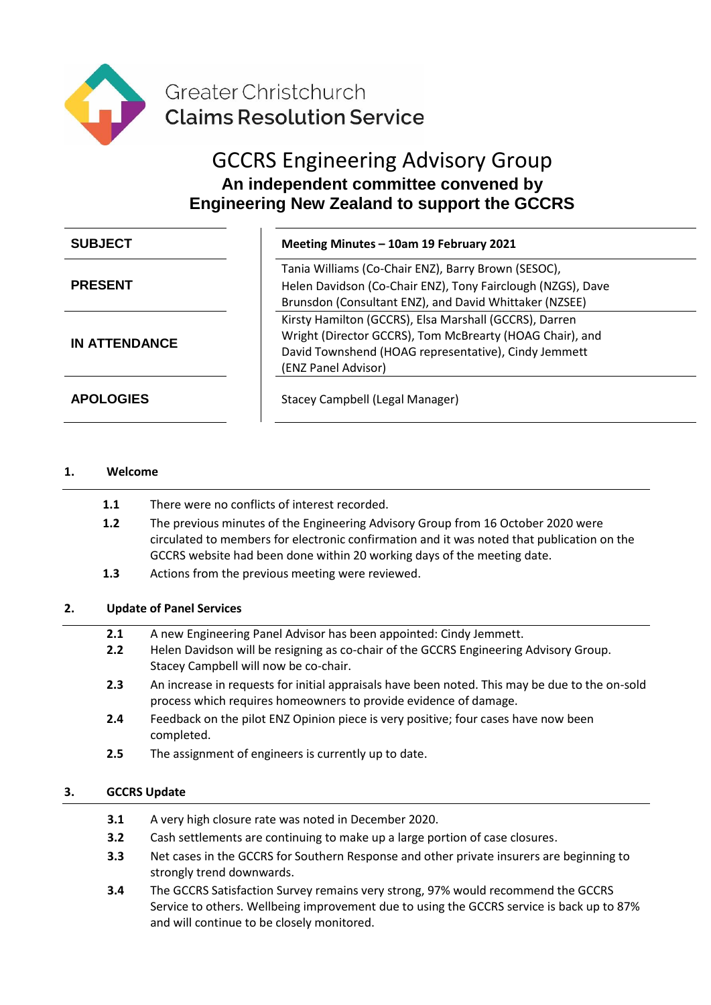

# GCCRS Engineering Advisory Group **An independent committee convened by Engineering New Zealand to support the GCCRS**

| <b>SUBJECT</b>       | Meeting Minutes - 10am 19 February 2021                                                                                                                                                           |
|----------------------|---------------------------------------------------------------------------------------------------------------------------------------------------------------------------------------------------|
| <b>PRESENT</b>       | Tania Williams (Co-Chair ENZ), Barry Brown (SESOC),<br>Helen Davidson (Co-Chair ENZ), Tony Fairclough (NZGS), Dave<br>Brunsdon (Consultant ENZ), and David Whittaker (NZSEE)                      |
| <b>IN ATTENDANCE</b> | Kirsty Hamilton (GCCRS), Elsa Marshall (GCCRS), Darren<br>Wright (Director GCCRS), Tom McBrearty (HOAG Chair), and<br>David Townshend (HOAG representative), Cindy Jemmett<br>(ENZ Panel Advisor) |
| <b>APOLOGIES</b>     | Stacey Campbell (Legal Manager)                                                                                                                                                                   |

# **1. Welcome**

- **1.1** There were no conflicts of interest recorded.
- **1.2** The previous minutes of the Engineering Advisory Group from 16 October 2020 were circulated to members for electronic confirmation and it was noted that publication on the GCCRS website had been done within 20 working days of the meeting date.
- **1.3** Actions from the previous meeting were reviewed.

# **2. Update of Panel Services**

- **2.1** A new Engineering Panel Advisor has been appointed: Cindy Jemmett.
- **2.2** Helen Davidson will be resigning as co-chair of the GCCRS Engineering Advisory Group. Stacey Campbell will now be co-chair.
- **2.3** An increase in requests for initial appraisals have been noted. This may be due to the on-sold process which requires homeowners to provide evidence of damage.
- **2.4** Feedback on the pilot ENZ Opinion piece is very positive; four cases have now been completed.
- **2.5** The assignment of engineers is currently up to date.

#### **3. GCCRS Update**

- **3.1** A very high closure rate was noted in December 2020.
- **3.2** Cash settlements are continuing to make up a large portion of case closures.
- **3.3** Net cases in the GCCRS for Southern Response and other private insurers are beginning to strongly trend downwards.
- **3.4** The GCCRS Satisfaction Survey remains very strong, 97% would recommend the GCCRS Service to others. Wellbeing improvement due to using the GCCRS service is back up to 87% and will continue to be closely monitored.